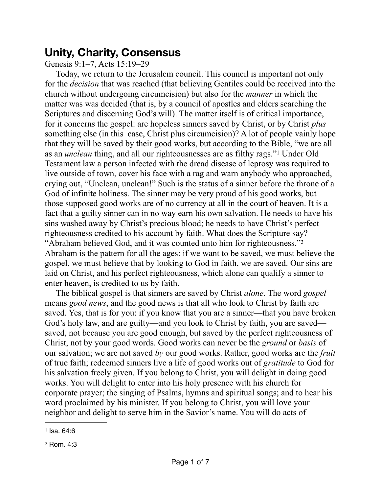## **Unity, Charity, Consensus**

Genesis 9:1–7, Acts 15:19–29

<span id="page-0-2"></span>Today, we return to the Jerusalem council. This council is important not only for the *decision* that was reached (that believing Gentiles could be received into the church without undergoing circumcision) but also for the *manner* in which the matter was was decided (that is, by a council of apostles and elders searching the Scriptures and discerning God's will). The matter itself is of critical importance, for it concerns the gospel: are hopeless sinners saved by Christ, or by Christ *plus* something else (in this case, Christ plus circumcision)? A lot of people vainly hope that they will be saved by their good works, but according to the Bible, "we are all asan *unclean* thing, and all our righteousnesses are as filthy rags."<sup>[1](#page-0-0)</sup> Under Old Testament law a person infected with the dread disease of leprosy was required to live outside of town, cover his face with a rag and warn anybody who approached, crying out, "Unclean, unclean!" Such is the status of a sinner before the throne of a God of infinite holiness. The sinner may be very proud of his good works, but those supposed good works are of no currency at all in the court of heaven. It is a fact that a guilty sinner can in no way earn his own salvation. He needs to have his sins washed away by Christ's precious blood; he needs to have Christ's perfect righteousness credited to his account by faith. What does the Scripture say? "Abraham believed God, and it was counted unto him for righteousness.["2](#page-0-1) Abraham is the pattern for all the ages: if we want to be saved, we must believe the gospel, we must believe that by looking to God in faith, we are saved. Our sins are laid on Christ, and his perfect righteousness, which alone can qualify a sinner to enter heaven, is credited to us by faith.

<span id="page-0-3"></span>The biblical gospel is that sinners are saved by Christ *alone*. The word *gospel* means *good news*, and the good news is that all who look to Christ by faith are saved. Yes, that is for you: if you know that you are a sinner—that you have broken God's holy law, and are guilty—and you look to Christ by faith, you are saved saved, not because you are good enough, but saved by the perfect righteousness of Christ, not by your good words. Good works can never be the *ground* or *basis* of our salvation; we are not saved *by* our good works. Rather, good works are the *fruit* of true faith; redeemed sinners live a life of good works out of *gratitude* to God for his salvation freely given. If you belong to Christ, you will delight in doing good works. You will delight to enter into his holy presence with his church for corporate prayer; the singing of Psalms, hymns and spiritual songs; and to hear his word proclaimed by his minister. If you belong to Christ, you will love your neighbor and delight to serve him in the Savior's name. You will do acts of

<span id="page-0-0"></span>[<sup>1</sup>](#page-0-2) Isa. 64:6

<span id="page-0-1"></span>[<sup>2</sup>](#page-0-3) Rom. 4:3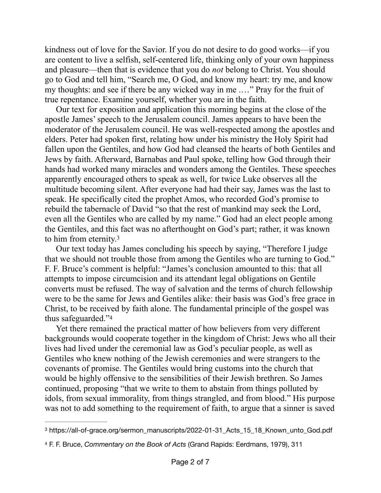kindness out of love for the Savior. If you do not desire to do good works—if you are content to live a selfish, self-centered life, thinking only of your own happiness and pleasure—then that is evidence that you do *not* belong to Christ. You should go to God and tell him, "Search me, O God, and know my heart: try me, and know my thoughts: and see if there be any wicked way in me .…" Pray for the fruit of true repentance. Examine yourself, whether you are in the faith.

Our text for exposition and application this morning begins at the close of the apostle James' speech to the Jerusalem council. James appears to have been the moderator of the Jerusalem council. He was well-respected among the apostles and elders. Peter had spoken first, relating how under his ministry the Holy Spirit had fallen upon the Gentiles, and how God had cleansed the hearts of both Gentiles and Jews by faith. Afterward, Barnabas and Paul spoke, telling how God through their hands had worked many miracles and wonders among the Gentiles. These speeches apparently encouraged others to speak as well, for twice Luke observes all the multitude becoming silent. After everyone had had their say, James was the last to speak. He specifically cited the prophet Amos, who recorded God's promise to rebuild the tabernacle of David "so that the rest of mankind may seek the Lord, even all the Gentiles who are called by my name." God had an elect people among the Gentiles, and this fact was no afterthought on God's part; rather, it was known to him from eternity.[3](#page-1-0)

<span id="page-1-2"></span>Our text today has James concluding his speech by saying, "Therefore I judge that we should not trouble those from among the Gentiles who are turning to God." F. F. Bruce's comment is helpful: "James's conclusion amounted to this: that all attempts to impose circumcision and its attendant legal obligations on Gentile converts must be refused. The way of salvation and the terms of church fellowship were to be the same for Jews and Gentiles alike: their basis was God's free grace in Christ, to be received by faith alone. The fundamental principle of the gospel was thus safeguarded.["4](#page-1-1)

<span id="page-1-3"></span>Yet there remained the practical matter of how believers from very different backgrounds would cooperate together in the kingdom of Christ: Jews who all their lives had lived under the ceremonial law as God's peculiar people, as well as Gentiles who knew nothing of the Jewish ceremonies and were strangers to the covenants of promise. The Gentiles would bring customs into the church that would be highly offensive to the sensibilities of their Jewish brethren. So James continued, proposing "that we write to them to abstain from things polluted by idols, from sexual immorality, from things strangled, and from blood." His purpose was not to add something to the requirement of faith, to argue that a sinner is saved

<span id="page-1-0"></span><sup>&</sup>lt;sup>[3](#page-1-2)</sup> https://all-of-grace.org/sermon\_manuscripts/2022-01-31\_Acts\_15\_18\_Known\_unto\_God.pdf

<span id="page-1-1"></span>[<sup>4</sup>](#page-1-3) F. F. Bruce, *Commentary on the Book of Acts* (Grand Rapids: Eerdmans, 1979), 311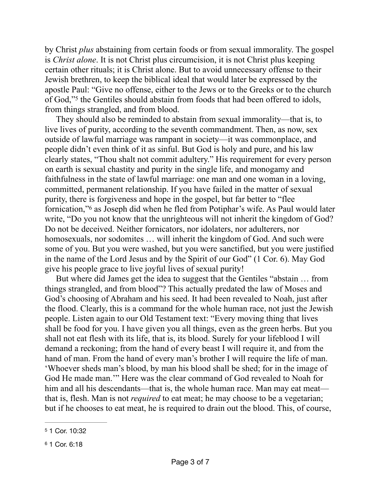by Christ *plus* abstaining from certain foods or from sexual immorality. The gospel is *Christ alone*. It is not Christ plus circumcision, it is not Christ plus keeping certain other rituals; it is Christ alone. But to avoid unnecessary offense to their Jewish brethren, to keep the biblical ideal that would later be expressed by the apostle Paul: "Give no offense, either to the Jews or to the Greeks or to the church ofGod,"<sup>[5](#page-2-0)</sup> the Gentiles should abstain from foods that had been offered to idols, from things strangled, and from blood.

<span id="page-2-2"></span>They should also be reminded to abstain from sexual immorality—that is, to live lives of purity, according to the seventh commandment. Then, as now, sex outside of lawful marriage was rampant in society—it was commonplace, and people didn't even think of it as sinful. But God is holy and pure, and his law clearly states, "Thou shalt not commit adultery." His requirement for every person on earth is sexual chastity and purity in the single life, and monogamy and faithfulness in the state of lawful marriage: one man and one woman in a loving, committed, permanent relationship. If you have failed in the matter of sexual purity, there is forgiveness and hope in the gospel, but far better to "flee fornication,"<sup>[6](#page-2-1)</sup> as Joseph did when he fled from Potiphar's wife. As Paul would later write, "Do you not know that the unrighteous will not inherit the kingdom of God? Do not be deceived. Neither fornicators, nor idolaters, nor adulterers, nor homosexuals, nor sodomites ... will inherit the kingdom of God. And such were some of you. But you were washed, but you were sanctified, but you were justified in the name of the Lord Jesus and by the Spirit of our God" (1 Cor. 6). May God give his people grace to live joyful lives of sexual purity!

<span id="page-2-3"></span>But where did James get the idea to suggest that the Gentiles "abstain … from things strangled, and from blood"? This actually predated the law of Moses and God's choosing of Abraham and his seed. It had been revealed to Noah, just after the flood. Clearly, this is a command for the whole human race, not just the Jewish people. Listen again to our Old Testament text: "Every moving thing that lives shall be food for you. I have given you all things, even as the green herbs. But you shall not eat flesh with its life, that is, its blood. Surely for your lifeblood I will demand a reckoning; from the hand of every beast I will require it, and from the hand of man. From the hand of every man's brother I will require the life of man. 'Whoever sheds man's blood, by man his blood shall be shed; for in the image of God He made man.'" Here was the clear command of God revealed to Noah for him and all his descendants—that is, the whole human race. Man may eat meat that is, flesh. Man is not *required* to eat meat; he may choose to be a vegetarian; but if he chooses to eat meat, he is required to drain out the blood. This, of course,

<span id="page-2-0"></span>[<sup>5</sup>](#page-2-2) 1 Cor. 10:32

<span id="page-2-1"></span>[<sup>6</sup>](#page-2-3) 1 Cor. 6:18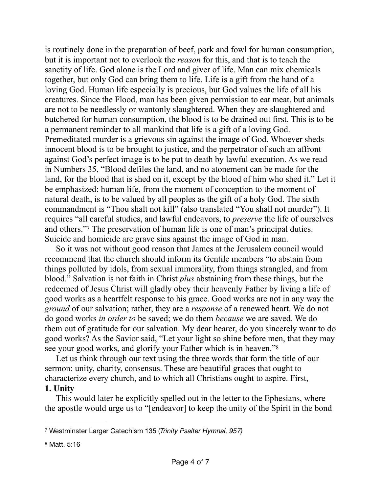is routinely done in the preparation of beef, pork and fowl for human consumption, but it is important not to overlook the *reason* for this, and that is to teach the sanctity of life. God alone is the Lord and giver of life. Man can mix chemicals together, but only God can bring them to life. Life is a gift from the hand of a loving God. Human life especially is precious, but God values the life of all his creatures. Since the Flood, man has been given permission to eat meat, but animals are not to be needlessly or wantonly slaughtered. When they are slaughtered and butchered for human consumption, the blood is to be drained out first. This is to be a permanent reminder to all mankind that life is a gift of a loving God. Premeditated murder is a grievous sin against the image of God. Whoever sheds innocent blood is to be brought to justice, and the perpetrator of such an affront against God's perfect image is to be put to death by lawful execution. As we read in Numbers 35, "Blood defiles the land, and no atonement can be made for the land, for the blood that is shed on it, except by the blood of him who shed it." Let it be emphasized: human life, from the moment of conception to the moment of natural death, is to be valued by all peoples as the gift of a holy God. The sixth commandment is "Thou shalt not kill" (also translated "You shall not murder"). It requires "all careful studies, and lawful endeavors, to *preserve* the life of ourselves and others." The preservation of human life is one of man's principal duties. Suicide and homicide are grave sins against the image of God in man.

<span id="page-3-2"></span>So it was not without good reason that James at the Jerusalem council would recommend that the church should inform its Gentile members "to abstain from things polluted by idols, from sexual immorality, from things strangled, and from blood." Salvation is not faith in Christ *plus* abstaining from these things, but the redeemed of Jesus Christ will gladly obey their heavenly Father by living a life of good works as a heartfelt response to his grace. Good works are not in any way the *ground* of our salvation; rather, they are a *response* of a renewed heart. We do not do good works *in order to* be saved; we do them *because* we are saved. We do them out of gratitude for our salvation. My dear hearer, do you sincerely want to do good works? As the Savior said, "Let your light so shine before men, that they may see your good works, and glorify your Father which is in heaven.["8](#page-3-1)

<span id="page-3-3"></span>Let us think through our text using the three words that form the title of our sermon: unity, charity, consensus. These are beautiful graces that ought to characterize every church, and to which all Christians ought to aspire. First, **1. Unity**

This would later be explicitly spelled out in the letter to the Ephesians, where the apostle would urge us to "[endeavor] to keep the unity of the Spirit in the bond

<span id="page-3-0"></span>Westminster Larger Catechism 135 (*Trinity Psalter Hymnal, 957)* [7](#page-3-2)

<span id="page-3-1"></span>[<sup>8</sup>](#page-3-3) Matt. 5:16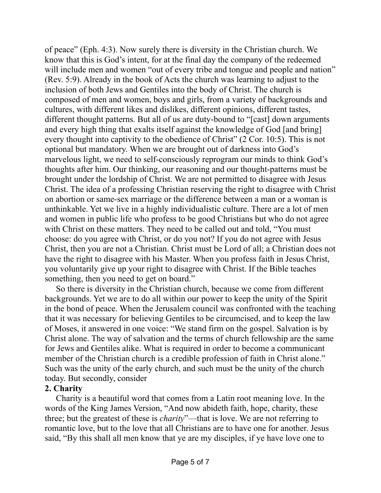of peace" (Eph. 4:3). Now surely there is diversity in the Christian church. We know that this is God's intent, for at the final day the company of the redeemed will include men and women "out of every tribe and tongue and people and nation" (Rev. 5:9). Already in the book of Acts the church was learning to adjust to the inclusion of both Jews and Gentiles into the body of Christ. The church is composed of men and women, boys and girls, from a variety of backgrounds and cultures, with different likes and dislikes, different opinions, different tastes, different thought patterns. But all of us are duty-bound to "[cast] down arguments and every high thing that exalts itself against the knowledge of God [and bring] every thought into captivity to the obedience of Christ" (2 Cor. 10:5). This is not optional but mandatory. When we are brought out of darkness into God's marvelous light, we need to self-consciously reprogram our minds to think God's thoughts after him. Our thinking, our reasoning and our thought-patterns must be brought under the lordship of Christ. We are not permitted to disagree with Jesus Christ. The idea of a professing Christian reserving the right to disagree with Christ on abortion or same-sex marriage or the difference between a man or a woman is unthinkable. Yet we live in a highly individualistic culture. There are a lot of men and women in public life who profess to be good Christians but who do not agree with Christ on these matters. They need to be called out and told, "You must" choose: do you agree with Christ, or do you not? If you do not agree with Jesus Christ, then you are not a Christian. Christ must be Lord of all; a Christian does not have the right to disagree with his Master. When you profess faith in Jesus Christ, you voluntarily give up your right to disagree with Christ. If the Bible teaches something, then you need to get on board."

So there is diversity in the Christian church, because we come from different backgrounds. Yet we are to do all within our power to keep the unity of the Spirit in the bond of peace. When the Jerusalem council was confronted with the teaching that it was necessary for believing Gentiles to be circumcised, and to keep the law of Moses, it answered in one voice: "We stand firm on the gospel. Salvation is by Christ alone. The way of salvation and the terms of church fellowship are the same for Jews and Gentiles alike. What is required in order to become a communicant member of the Christian church is a credible profession of faith in Christ alone." Such was the unity of the early church, and such must be the unity of the church today. But secondly, consider

## **2. Charity**

Charity is a beautiful word that comes from a Latin root meaning love. In the words of the King James Version, "And now abideth faith, hope, charity, these three; but the greatest of these is *charity*"—that is love. We are not referring to romantic love, but to the love that all Christians are to have one for another. Jesus said, "By this shall all men know that ye are my disciples, if ye have love one to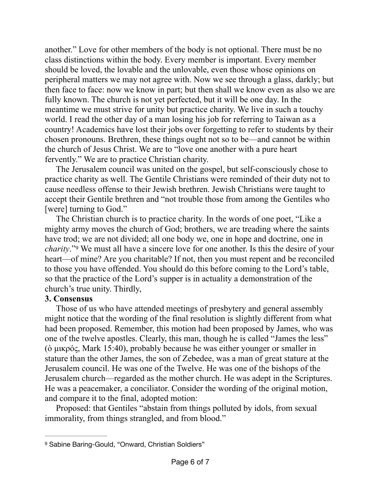another." Love for other members of the body is not optional. There must be no class distinctions within the body. Every member is important. Every member should be loved, the lovable and the unlovable, even those whose opinions on peripheral matters we may not agree with. Now we see through a glass, darkly; but then face to face: now we know in part; but then shall we know even as also we are fully known. The church is not yet perfected, but it will be one day. In the meantime we must strive for unity but practice charity. We live in such a touchy world. I read the other day of a man losing his job for referring to Taiwan as a country! Academics have lost their jobs over forgetting to refer to students by their chosen pronouns. Brethren, these things ought not so to be—and cannot be within the church of Jesus Christ. We are to "love one another with a pure heart fervently." We are to practice Christian charity.

The Jerusalem council was united on the gospel, but self-consciously chose to practice charity as well. The Gentile Christians were reminded of their duty not to cause needless offense to their Jewish brethren. Jewish Christians were taught to accept their Gentile brethren and "not trouble those from among the Gentiles who [were] turning to God."

<span id="page-5-1"></span>The Christian church is to practice charity. In the words of one poet, "Like a mighty army moves the church of God; brothers, we are treading where the saints have trod; we are not divided; all one body we, one in hope and doctrine, one in *charity*.["](#page-5-0) We must all have a sincere love for one another. Is this the desire of your heart—of mine? Are you charitable? If not, then you must repent and be reconciled to those you have offended. You should do this before coming to the Lord's table, so that the practice of the Lord's supper is in actuality a demonstration of the church's true unity. Thirdly,

## **3. Consensus**

Those of us who have attended meetings of presbytery and general assembly might notice that the wording of the final resolution is slightly different from what had been proposed. Remember, this motion had been proposed by James, who was one of the twelve apostles. Clearly, this man, though he is called "James the less" (ὁ µικρός, Mark 15:40), probably because he was either younger or smaller in stature than the other James, the son of Zebedee, was a man of great stature at the Jerusalem council. He was one of the Twelve. He was one of the bishops of the Jerusalem church—regarded as the mother church. He was adept in the Scriptures. He was a peacemaker, a conciliator. Consider the wording of the original motion, and compare it to the final, adopted motion:

Proposed: that Gentiles "abstain from things polluted by idols, from sexual immorality, from things strangled, and from blood."

<span id="page-5-0"></span><sup>&</sup>lt;sup>[9](#page-5-1)</sup> Sabine Baring-Gould, "Onward, Christian Soldiers"